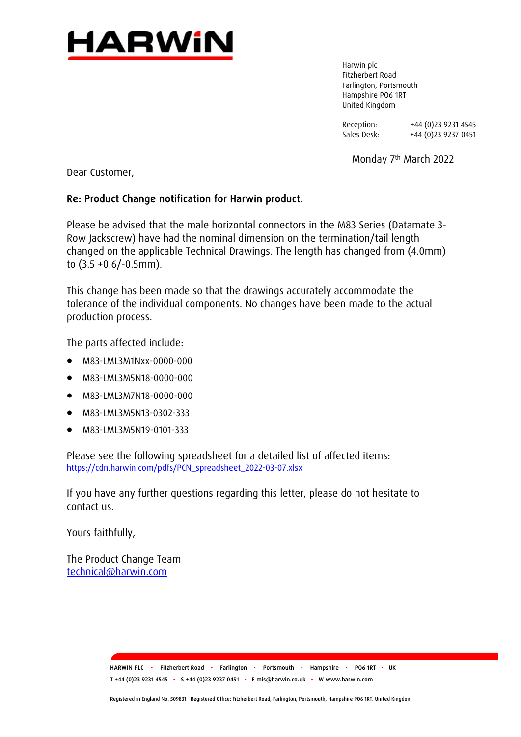

Harwin plc Fitzherbert Road Farlington, Portsmouth Hampshire PO6 1RT United Kingdom

Reception: +44 (0)23 9231 4545<br>Sales Desk: +44 (0)23 9237 0451 +44 (0)23 9237 0451

Monday 7th March 2022

Dear Customer,

## Re: Product Change notification for Harwin product.

Please be advised that the male horizontal connectors in the M83 Series (Datamate 3- Row Jackscrew) have had the nominal dimension on the termination/tail length changed on the applicable Technical Drawings. The length has changed from (4.0mm) to (3.5 +0.6/-0.5mm).

This change has been made so that the drawings accurately accommodate the tolerance of the individual components. No changes have been made to the actual production process.

The parts affected include:

- M83-LML3M1Nxx-0000-000
- M83-LML3M5N18-0000-000
- M83-LML3M7N18-0000-000
- M83-LML3M5N13-0302-333
- M83-LML3M5N19-0101-333

Please see the following spreadsheet for a detailed list of affected items: [https://cdn.harwin.com/pdfs/PCN\\_spreadsheet\\_2022-03-07.xlsx](https://cdn.harwin.com/pdfs/PCN_spreadsheet_2022-03-07.xlsx)

If you have any further questions regarding this letter, please do not hesitate to contact us.

Yours faithfully,

The Product Change Team [technical@harwin.com](mailto:technical@harwin.com)

> HARWIN PLC • Fitzherbert Road • Farlington • Portsmouth • Hampshire • PO6 1RT • UK T +44 (0)23 9231 4545 • S +44 (0)23 9237 0451 • E mis@harwin.co.uk • W www.harwin.com